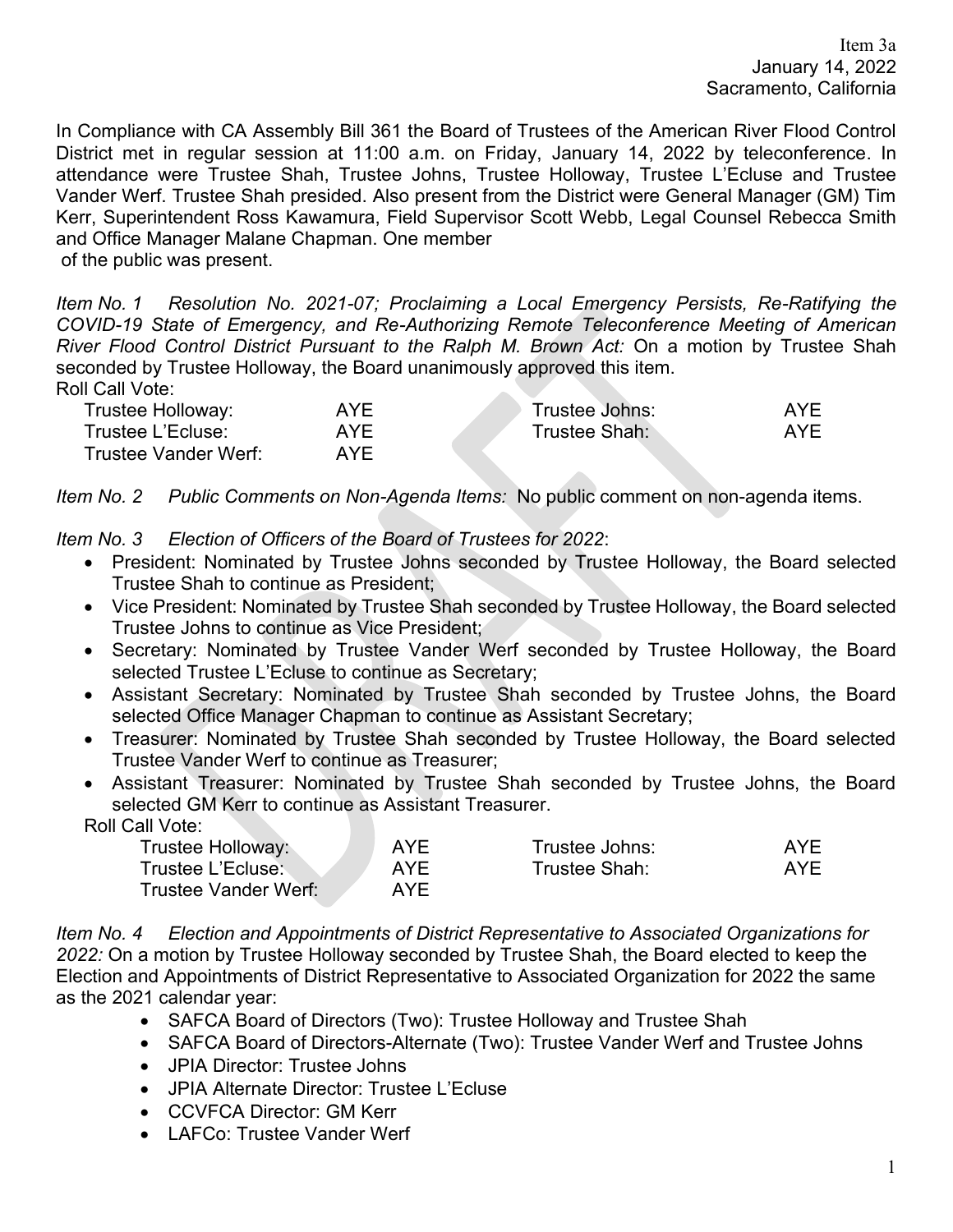In Compliance with CA Assembly Bill 361 the Board of Trustees of the American River Flood Control District met in regular session at 11:00 a.m. on Friday, January 14, 2022 by teleconference. In attendance were Trustee Shah, Trustee Johns, Trustee Holloway, Trustee L'Ecluse and Trustee Vander Werf. Trustee Shah presided. Also present from the District were General Manager (GM) Tim Kerr, Superintendent Ross Kawamura, Field Supervisor Scott Webb, Legal Counsel Rebecca Smith and Office Manager Malane Chapman. One member of the public was present.

*Item No. 1 Resolution No. 2021-07; Proclaiming a Local Emergency Persists, Re-Ratifying the COVID-19 State of Emergency, and Re-Authorizing Remote Teleconference Meeting of American River Flood Control District Pursuant to the Ralph M. Brown Act:* On a motion by Trustee Shah seconded by Trustee Holloway, the Board unanimously approved this item. Roll Call Vote:

| Trustee Holloway:    | <b>AYE</b> | Trustee Johns: | AYF |
|----------------------|------------|----------------|-----|
| Trustee L'Ecluse:    | AYF        | Trustee Shah:  | AYF |
| Trustee Vander Werf: | AYF        |                |     |

*Item No. 2 Public Comments on Non-Agenda Items:* No public comment on non-agenda items.

*Item No. 3 Election of Officers of the Board of Trustees for 2022*:

- President: Nominated by Trustee Johns seconded by Trustee Holloway, the Board selected Trustee Shah to continue as President;
- Vice President: Nominated by Trustee Shah seconded by Trustee Holloway, the Board selected Trustee Johns to continue as Vice President;
- Secretary: Nominated by Trustee Vander Werf seconded by Trustee Holloway, the Board selected Trustee L'Ecluse to continue as Secretary;
- Assistant Secretary: Nominated by Trustee Shah seconded by Trustee Johns, the Board selected Office Manager Chapman to continue as Assistant Secretary;
- Treasurer: Nominated by Trustee Shah seconded by Trustee Holloway, the Board selected Trustee Vander Werf to continue as Treasurer;
- Assistant Treasurer: Nominated by Trustee Shah seconded by Trustee Johns, the Board selected GM Kerr to continue as Assistant Treasurer.

Roll Call Vote:

| Trustee Holloway:    | <b>AYF</b> | Trustee Johns: | AYF |
|----------------------|------------|----------------|-----|
| Trustee L'Ecluse:    | AYF        | Trustee Shah:  | AYF |
| Trustee Vander Werf: | AYF.       |                |     |

*Item No. 4 Election and Appointments of District Representative to Associated Organizations for 2022:* On a motion by Trustee Holloway seconded by Trustee Shah, the Board elected to keep the Election and Appointments of District Representative to Associated Organization for 2022 the same as the 2021 calendar year:

- SAFCA Board of Directors (Two): Trustee Holloway and Trustee Shah
- SAFCA Board of Directors-Alternate (Two): Trustee Vander Werf and Trustee Johns
- JPIA Director: Trustee Johns
- JPIA Alternate Director: Trustee L'Ecluse
- CCVFCA Director: GM Kerr
- LAFCo: Trustee Vander Werf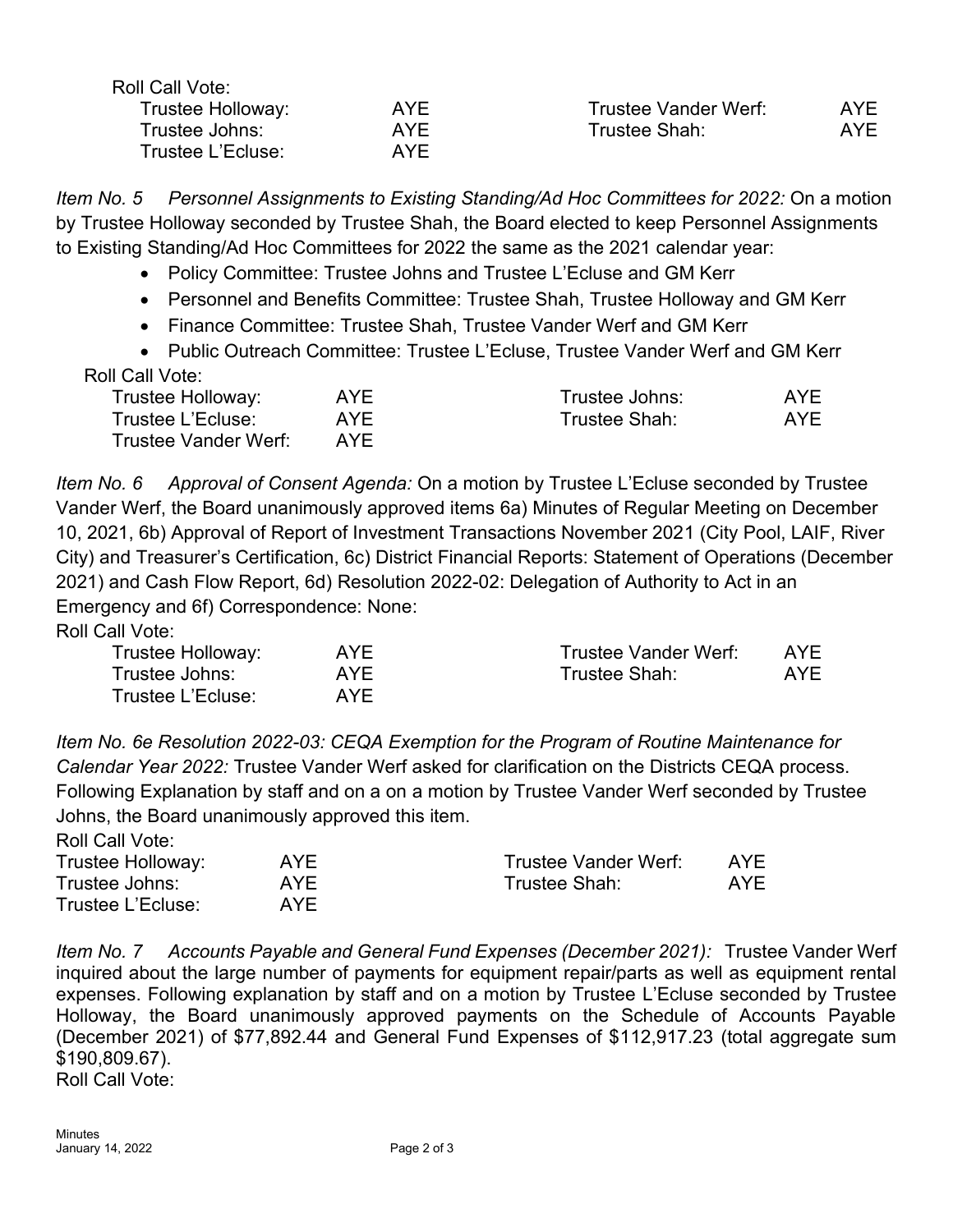| Roll Call Vote:   |            |                      |            |
|-------------------|------------|----------------------|------------|
| Trustee Holloway: | AYF.       | Trustee Vander Werf: | AYF        |
| Trustee Johns:    | <b>AYE</b> | Trustee Shah:        | <b>AYE</b> |
| Trustee L'Ecluse: | AYF        |                      |            |

*Item No. 5 Personnel Assignments to Existing Standing/Ad Hoc Committees for 2022:* On a motion by Trustee Holloway seconded by Trustee Shah, the Board elected to keep Personnel Assignments to Existing Standing/Ad Hoc Committees for 2022 the same as the 2021 calendar year:

- Policy Committee: Trustee Johns and Trustee L'Ecluse and GM Kerr
- Personnel and Benefits Committee: Trustee Shah, Trustee Holloway and GM Kerr
- Finance Committee: Trustee Shah, Trustee Vander Werf and GM Kerr
- Public Outreach Committee: Trustee L'Ecluse, Trustee Vander Werf and GM Kerr Roll Call Vote:

| AYE. | Trustee Johns: | AYE. |
|------|----------------|------|
| AYF. | Trustee Shah:  | AYE  |
| AYF  |                |      |
|      |                |      |

*Item No. 6 Approval of Consent Agenda:* On a motion by Trustee L'Ecluse seconded by Trustee Vander Werf, the Board unanimously approved items 6a) Minutes of Regular Meeting on December 10, 2021, 6b) Approval of Report of Investment Transactions November 2021 (City Pool, LAIF, River City) and Treasurer's Certification, 6c) District Financial Reports: Statement of Operations (December 2021) and Cash Flow Report, 6d) Resolution 2022-02: Delegation of Authority to Act in an Emergency and 6f) Correspondence: None:

Roll Call Vote:

| Trustee Holloway: | AYF        | <b>Trustee Vander Werf:</b> | AYF |
|-------------------|------------|-----------------------------|-----|
| Trustee Johns:    | <b>AYE</b> | Trustee Shah:               | AYE |
| Trustee L'Ecluse: | AYF        |                             |     |

*Item No. 6e Resolution 2022-03: CEQA Exemption for the Program of Routine Maintenance for Calendar Year 2022:* Trustee Vander Werf asked for clarification on the Districts CEQA process. Following Explanation by staff and on a on a motion by Trustee Vander Werf seconded by Trustee Johns, the Board unanimously approved this item.

Roll Call Vote:

| Trustee Holloway: | AYE.       | Trustee Vander Werf: | AYF |
|-------------------|------------|----------------------|-----|
| Trustee Johns:    | <b>AYE</b> | Trustee Shah:        | AYF |
| Trustee L'Ecluse: | AYF        |                      |     |

*Item No. 7 Accounts Payable and General Fund Expenses (December 2021):* Trustee Vander Werf inquired about the large number of payments for equipment repair/parts as well as equipment rental expenses. Following explanation by staff and on a motion by Trustee L'Ecluse seconded by Trustee Holloway, the Board unanimously approved payments on the Schedule of Accounts Payable (December 2021) of \$77,892.44 and General Fund Expenses of \$112,917.23 (total aggregate sum \$190,809.67).

Roll Call Vote: